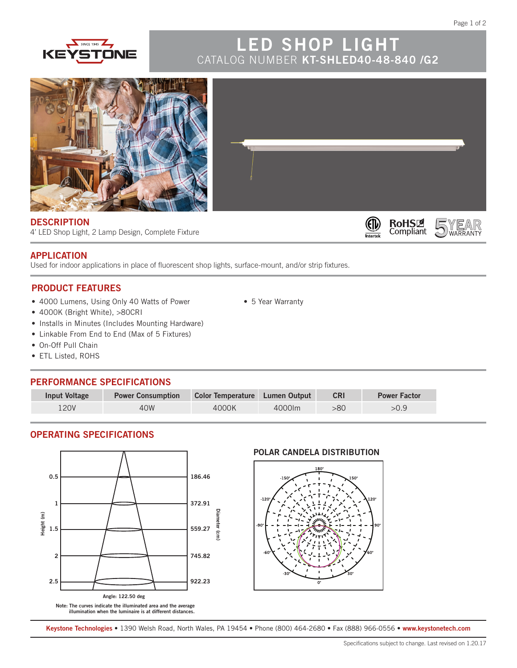YEAR



# **LED SHOP LIGHT** CATALOG NUMBER **KT-SHLED40-48-840 /G2**

⊕

 $n$ 

**RoHSIZ**<br>Compliant



#### **DESCRIPTION**

4' LED Shop Light, 2 Lamp Design, Complete Fixture

# **APPLICATION**

Used for indoor applications in place of fluorescent shop lights, surface-mount, and/or strip fixtures.

## **PRODUCT FEATURES**

- 4000 Lumens, Using Only 40 Watts of Power
- 4000K (Bright White), >80CRI
- Installs in Minutes (Includes Mounting Hardware)
- Linkable From End to End (Max of 5 Fixtures)
- On-Off Pull Chain
- ETL Listed, ROHS

### **PERFORMANCE SPECIFICATIONS**

| <b>Input Voltage</b> | <b>Power Consumption</b> | Color Temperature Lumen Output |        | <b>CRI</b> | <b>Power Factor</b> |
|----------------------|--------------------------|--------------------------------|--------|------------|---------------------|
| 120V                 | 40W                      | 4000K                          | 4000lm | -80        | >0.9                |

• 5 Year Warranty

# **OPERATING SPECIFICATIONS**



**Note: The curves indicate the illuminated area and the average illumination when the luminaire is at different distances.**

#### **POLAR CANDELA DISTRIBUTION**



**Keystone Technologies •** 1390 Welsh Road, North Wales, PA 19454 **•** Phone (800) 464-2680 **•** Fax (888) 966-0556 • **www.keystonetech.com**